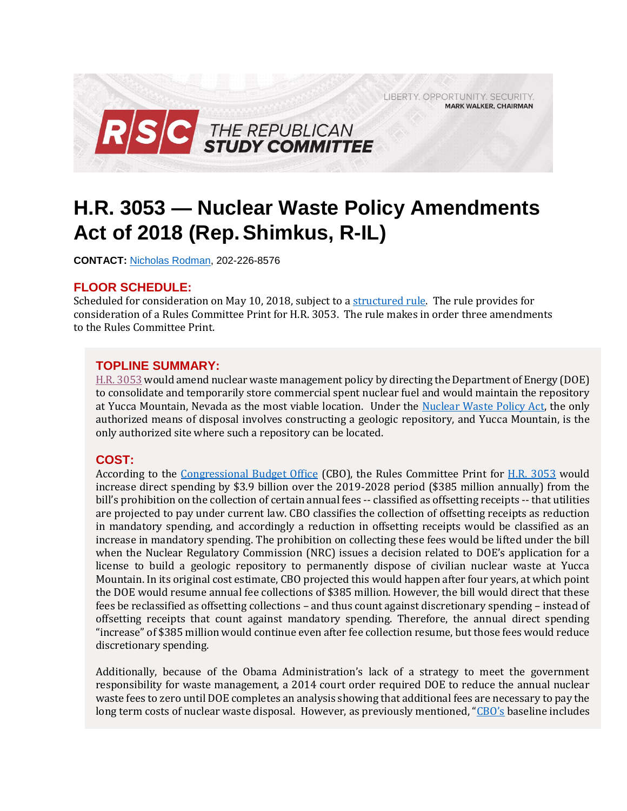LIBERTY, OPPORTUNITY, SECURITY, **MARK WALKER, CHAIRMAN** 



# **H.R. 3053 — Nuclear Waste Policy Amendments Act of 2018 (Rep.Shimkus, R-IL)**

**CONTACT:** [Nicholas Rodman,](mailto:nicholas.rodman@mail.house.gov) 202-226-8576

## **FLOOR SCHEDULE:**

Scheduled for consideration on May 10, 2018, subject to a [structured](https://rules.house.gov/sites/republicans.rules.house.gov/files/Rule_HR3053_1.pdf) rule. The rule provides for consideration of a Rules Committee Print for H.R. 3053. The rule makes in order three amendments to the Rules Committee Print.

## **TOPLINE SUMMARY:**

[H.R. 3053](https://docs.house.gov/billsthisweek/20180507/BILLS-115HR3053-RCP115-69.pdf) would amend nuclear waste management policy by directing the Department of Energy (DOE) to consolidate and temporarily store commercial spent nuclear fuel and would maintain the repository at Yucca Mountain, Nevada as the most viable location. Under the [Nuclear Waste Policy Act,](https://www.energy.gov/sites/prod/files/edg/media/nwpa_2004.pdf) the only authorized means of disposal involves constructing a geologic repository, and Yucca Mountain, is the only authorized site where such a repository can be located.

#### **COST:**

According to the [Congressional Budget Office](https://gallery.mailchimp.com/d4254037a343b683d142111e0/files/3763c042-7d35-4038-a81f-e7eb5566135a/CBO_hr3053_RCP.pdf) (CBO), the Rules Committee Print for [H.R. 3053](https://docs.house.gov/billsthisweek/20180507/BILLS-115HR3053-RCP115-69.pdf) would increase direct spending by \$3.9 billion over the 2019-2028 period (\$385 million annually) from the bill's prohibition on the collection of certain annual fees -- classified as offsetting receipts -- that utilities are projected to pay under current law. CBO classifies the collection of offsetting receipts as reduction in mandatory spending, and accordingly a reduction in offsetting receipts would be classified as an increase in mandatory spending. The prohibition on collecting these fees would be lifted under the bill when the Nuclear Regulatory Commission (NRC) issues a decision related to DOE's application for a license to build a geologic repository to permanently dispose of civilian nuclear waste at Yucca Mountain. In its original cost estimate, CBO projected this would happen after four years, at which point the DOE would resume annual fee collections of \$385 million. However, the bill would direct that these fees be reclassified as offsetting collections – and thus count against discretionary spending – instead of offsetting receipts that count against mandatory spending. Therefore, the annual direct spending "increase" of \$385 million would continue even after fee collection resume, but those fees would reduce discretionary spending.

Additionally, because of the Obama Administration's lack of a strategy to meet the government responsibility for waste management, a 2014 court order required DOE to reduce the annual nuclear waste fees to zero until DOE completes an analysis showing that additional fees are necessary to pay the long term costs of nuclear waste disposal. However, as previously mentioned, ["CBO's](https://www.cbo.gov/system/files/115th-congress-2017-2018/costestimate/hr3053.pdf) baseline includes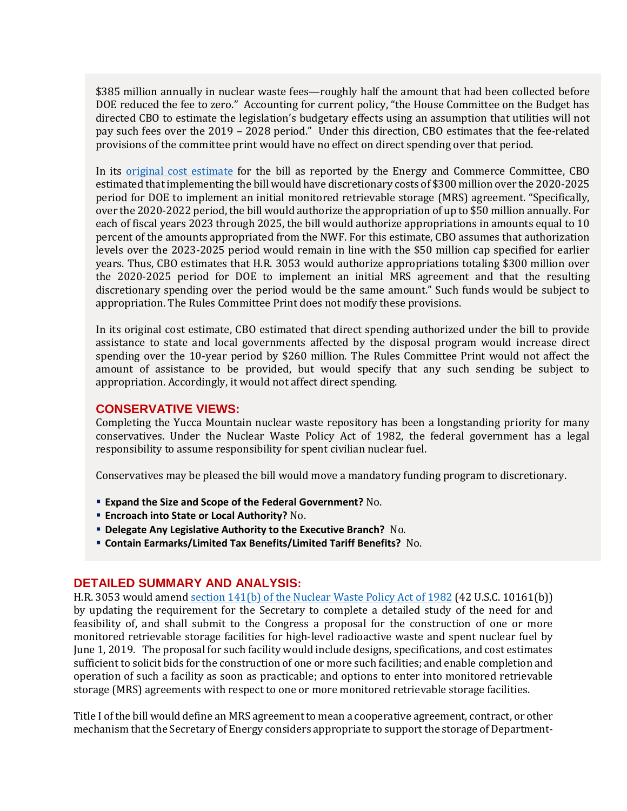\$385 million annually in nuclear waste fees—roughly half the amount that had been collected before DOE reduced the fee to zero." Accounting for current policy, "the House Committee on the Budget has directed CBO to estimate the legislation's budgetary effects using an assumption that utilities will not pay such fees over the 2019 – 2028 period." Under this direction, CBO estimates that the fee-related provisions of the committee print would have no effect on direct spending over that period.

In its [original cost estimate](https://www.cbo.gov/system/files/115th-congress-2017-2018/costestimate/hr3053.pdf) for the bill as reported by the Energy and Commerce Committee, CBO estimated that implementing the bill would have discretionary costs of \$300 million over the 2020-2025 period for DOE to implement an initial monitored retrievable storage (MRS) agreement. "Specifically, over the 2020-2022 period, the bill would authorize the appropriation of up to \$50 million annually. For each of fiscal years 2023 through 2025, the bill would authorize appropriations in amounts equal to 10 percent of the amounts appropriated from the NWF. For this estimate, CBO assumes that authorization levels over the 2023-2025 period would remain in line with the \$50 million cap specified for earlier years. Thus, CBO estimates that H.R. 3053 would authorize appropriations totaling \$300 million over the 2020-2025 period for DOE to implement an initial MRS agreement and that the resulting discretionary spending over the period would be the same amount." Such funds would be subject to appropriation. The Rules Committee Print does not modify these provisions.

In its original cost estimate, CBO estimated that direct spending authorized under the bill to provide assistance to state and local governments affected by the disposal program would increase direct spending over the 10-year period by \$260 million. The Rules Committee Print would not affect the amount of assistance to be provided, but would specify that any such sending be subject to appropriation. Accordingly, it would not affect direct spending.

#### **CONSERVATIVE VIEWS:**

Completing the Yucca Mountain nuclear waste repository has been a longstanding priority for many conservatives. Under the Nuclear Waste Policy Act of 1982, the federal government has a legal responsibility to assume responsibility for spent civilian nuclear fuel.

Conservatives may be pleased the bill would move a mandatory funding program to discretionary.

- **Expand the Size and Scope of the Federal Government?** No.
- **Encroach into State or Local Authority?** No.
- **Delegate Any Legislative Authority to the Executive Branch?** No.
- **Contain Earmarks/Limited Tax Benefits/Limited Tariff Benefits?** No.

#### **DETAILED SUMMARY AND ANALYSIS:**

H.R. 3053 would amen[d section 141\(b\) of the Nuclear Waste Policy Act of 1982](https://www.energy.gov/sites/prod/files/edg/media/nwpa_2004.pdf) (42 U.S.C. 10161(b)) by updating the requirement for the Secretary to complete a detailed study of the need for and feasibility of, and shall submit to the Congress a proposal for the construction of one or more monitored retrievable storage facilities for high-level radioactive waste and spent nuclear fuel by June 1, 2019. The proposal for such facility would include designs, specifications, and cost estimates sufficient to solicit bids for the construction of one or more such facilities; and enable completion and operation of such a facility as soon as practicable; and options to enter into monitored retrievable storage (MRS) agreements with respect to one or more monitored retrievable storage facilities.

Title I of the bill would define an MRS agreement to mean a cooperative agreement, contract, or other mechanism that the Secretary of Energy considers appropriate to support the storage of Department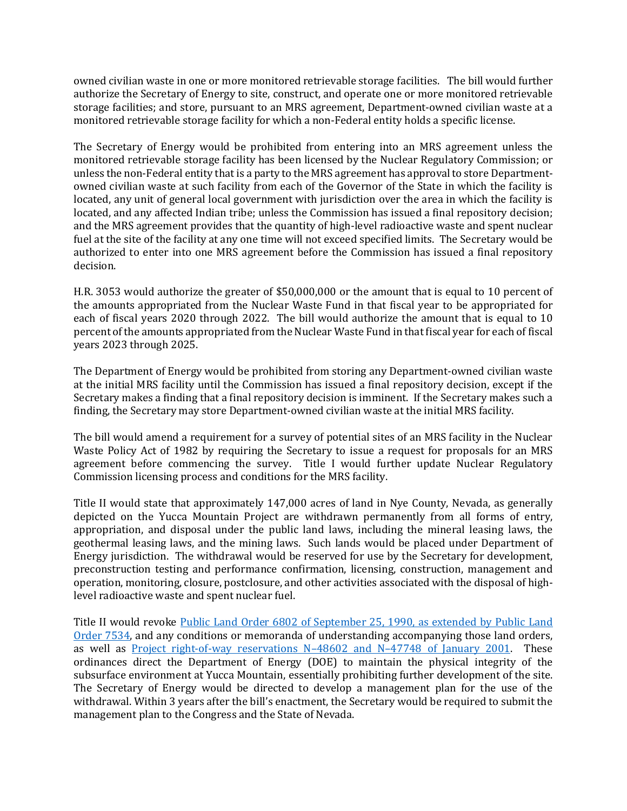owned civilian waste in one or more monitored retrievable storage facilities. The bill would further authorize the Secretary of Energy to site, construct, and operate one or more monitored retrievable storage facilities; and store, pursuant to an MRS agreement, Department-owned civilian waste at a monitored retrievable storage facility for which a non-Federal entity holds a specific license.

The Secretary of Energy would be prohibited from entering into an MRS agreement unless the monitored retrievable storage facility has been licensed by the Nuclear Regulatory Commission; or unless the non-Federal entity that is a party to the MRS agreement has approval to store Departmentowned civilian waste at such facility from each of the Governor of the State in which the facility is located, any unit of general local government with jurisdiction over the area in which the facility is located, and any affected Indian tribe; unless the Commission has issued a final repository decision; and the MRS agreement provides that the quantity of high-level radioactive waste and spent nuclear fuel at the site of the facility at any one time will not exceed specified limits. The Secretary would be authorized to enter into one MRS agreement before the Commission has issued a final repository decision.

H.R. 3053 would authorize the greater of \$50,000,000 or the amount that is equal to 10 percent of the amounts appropriated from the Nuclear Waste Fund in that fiscal year to be appropriated for each of fiscal years 2020 through 2022. The bill would authorize the amount that is equal to 10 percent of the amounts appropriated from the Nuclear Waste Fund in that fiscal year for each of fiscal years 2023 through 2025.

The Department of Energy would be prohibited from storing any Department-owned civilian waste at the initial MRS facility until the Commission has issued a final repository decision, except if the Secretary makes a finding that a final repository decision is imminent. If the Secretary makes such a finding, the Secretary may store Department-owned civilian waste at the initial MRS facility.

The bill would amend a requirement for a survey of potential sites of an MRS facility in the Nuclear Waste Policy Act of 1982 by requiring the Secretary to issue a request for proposals for an MRS agreement before commencing the survey. Title I would further update Nuclear Regulatory Commission licensing process and conditions for the MRS facility.

Title II would state that approximately 147,000 acres of land in Nye County, Nevada, as generally depicted on the Yucca Mountain Project are withdrawn permanently from all forms of entry, appropriation, and disposal under the public land laws, including the mineral leasing laws, the geothermal leasing laws, and the mining laws. Such lands would be placed under Department of Energy jurisdiction. The withdrawal would be reserved for use by the Secretary for development, preconstruction testing and performance confirmation, licensing, construction, management and operation, monitoring, closure, postclosure, and other activities associated with the disposal of highlevel radioactive waste and spent nuclear fuel.

Title II would revoke [Public Land Order 6802 of September 25, 1990, as extended by Public Land](https://www.gpo.gov/fdsys/pkg/FR-2002-08-15/pdf/02-20720.pdf)  [Order 7534,](https://www.gpo.gov/fdsys/pkg/FR-2002-08-15/pdf/02-20720.pdf) and any conditions or memoranda of understanding accompanying those land orders, as well as [Project right-of-way reservations N](http://www.state.nv.us/nucwaste/news2000/nn10874.htm)–48602 and N–47748 of January 2001. These ordinances direct the Department of Energy (DOE) to maintain the physical integrity of the subsurface environment at Yucca Mountain, essentially prohibiting further development of the site. The Secretary of Energy would be directed to develop a management plan for the use of the withdrawal. Within 3 years after the bill's enactment, the Secretary would be required to submit the management plan to the Congress and the State of Nevada.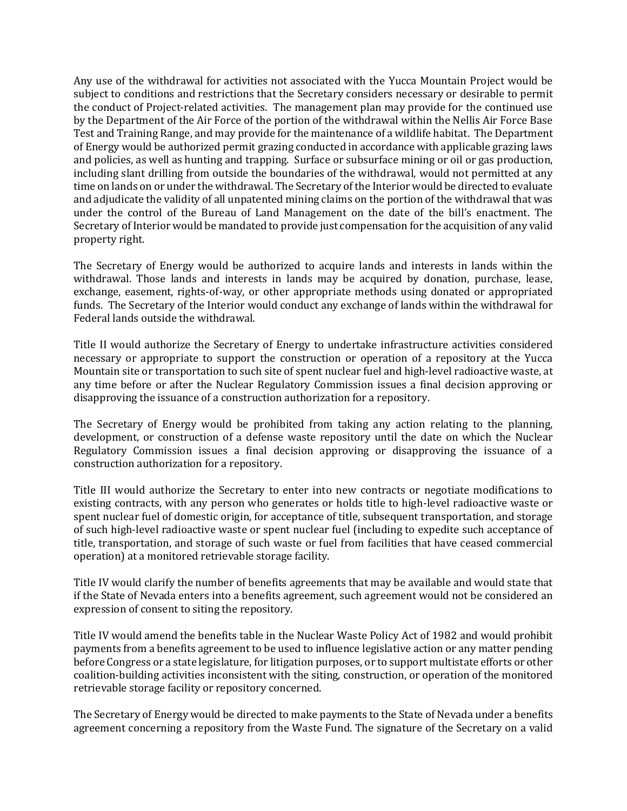Any use of the withdrawal for activities not associated with the Yucca Mountain Project would be subject to conditions and restrictions that the Secretary considers necessary or desirable to permit the conduct of Project-related activities. The management plan may provide for the continued use by the Department of the Air Force of the portion of the withdrawal within the Nellis Air Force Base Test and Training Range, and may provide for the maintenance of a wildlife habitat. The Department of Energy would be authorized permit grazing conducted in accordance with applicable grazing laws and policies, as well as hunting and trapping. Surface or subsurface mining or oil or gas production, including slant drilling from outside the boundaries of the withdrawal, would not permitted at any time on lands on or under the withdrawal. The Secretary of the Interior would be directed to evaluate and adjudicate the validity of all unpatented mining claims on the portion of the withdrawal that was under the control of the Bureau of Land Management on the date of the bill's enactment. The Secretary of Interior would be mandated to provide just compensation for the acquisition of any valid property right.

The Secretary of Energy would be authorized to acquire lands and interests in lands within the withdrawal. Those lands and interests in lands may be acquired by donation, purchase, lease, exchange, easement, rights-of-way, or other appropriate methods using donated or appropriated funds. The Secretary of the Interior would conduct any exchange of lands within the withdrawal for Federal lands outside the withdrawal.

Title II would authorize the Secretary of Energy to undertake infrastructure activities considered necessary or appropriate to support the construction or operation of a repository at the Yucca Mountain site or transportation to such site of spent nuclear fuel and high-level radioactive waste, at any time before or after the Nuclear Regulatory Commission issues a final decision approving or disapproving the issuance of a construction authorization for a repository.

The Secretary of Energy would be prohibited from taking any action relating to the planning, development, or construction of a defense waste repository until the date on which the Nuclear Regulatory Commission issues a final decision approving or disapproving the issuance of a construction authorization for a repository.

Title III would authorize the Secretary to enter into new contracts or negotiate modifications to existing contracts, with any person who generates or holds title to high-level radioactive waste or spent nuclear fuel of domestic origin, for acceptance of title, subsequent transportation, and storage of such high-level radioactive waste or spent nuclear fuel (including to expedite such acceptance of title, transportation, and storage of such waste or fuel from facilities that have ceased commercial operation) at a monitored retrievable storage facility.

Title IV would clarify the number of benefits agreements that may be available and would state that if the State of Nevada enters into a benefits agreement, such agreement would not be considered an expression of consent to siting the repository.

Title IV would amend the benefits table in the Nuclear Waste Policy Act of 1982 and would prohibit payments from a benefits agreement to be used to influence legislative action or any matter pending before Congress or a state legislature, for litigation purposes, or to support multistate efforts or other coalition-building activities inconsistent with the siting, construction, or operation of the monitored retrievable storage facility or repository concerned.

The Secretary of Energy would be directed to make payments to the State of Nevada under a benefits agreement concerning a repository from the Waste Fund. The signature of the Secretary on a valid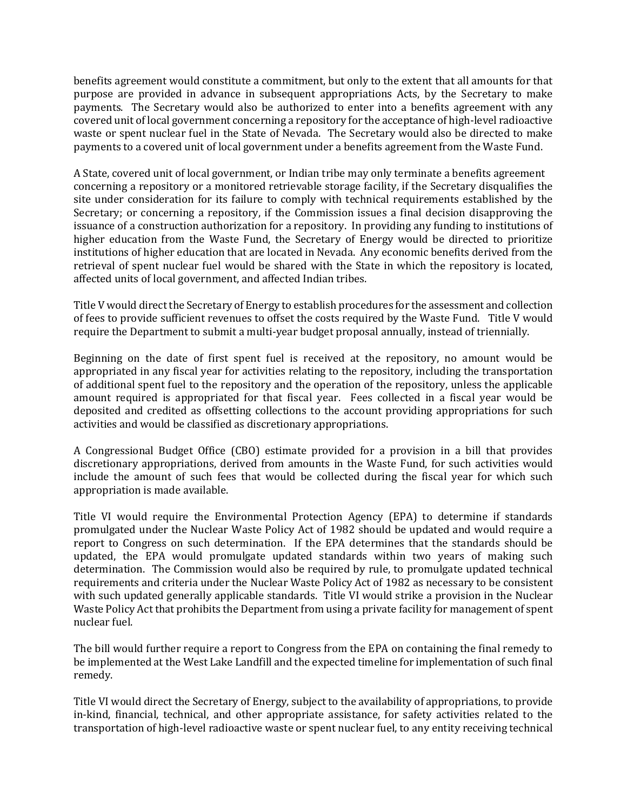benefits agreement would constitute a commitment, but only to the extent that all amounts for that purpose are provided in advance in subsequent appropriations Acts, by the Secretary to make payments. The Secretary would also be authorized to enter into a benefits agreement with any covered unit of local government concerning a repository for the acceptance of high-level radioactive waste or spent nuclear fuel in the State of Nevada. The Secretary would also be directed to make payments to a covered unit of local government under a benefits agreement from the Waste Fund.

A State, covered unit of local government, or Indian tribe may only terminate a benefits agreement concerning a repository or a monitored retrievable storage facility, if the Secretary disqualifies the site under consideration for its failure to comply with technical requirements established by the Secretary; or concerning a repository, if the Commission issues a final decision disapproving the issuance of a construction authorization for a repository. In providing any funding to institutions of higher education from the Waste Fund, the Secretary of Energy would be directed to prioritize institutions of higher education that are located in Nevada. Any economic benefits derived from the retrieval of spent nuclear fuel would be shared with the State in which the repository is located, affected units of local government, and affected Indian tribes.

Title V would direct the Secretary of Energy to establish procedures for the assessment and collection of fees to provide sufficient revenues to offset the costs required by the Waste Fund. Title V would require the Department to submit a multi-year budget proposal annually, instead of triennially.

Beginning on the date of first spent fuel is received at the repository, no amount would be appropriated in any fiscal year for activities relating to the repository, including the transportation of additional spent fuel to the repository and the operation of the repository, unless the applicable amount required is appropriated for that fiscal year. Fees collected in a fiscal year would be deposited and credited as offsetting collections to the account providing appropriations for such activities and would be classified as discretionary appropriations.

A Congressional Budget Office (CBO) estimate provided for a provision in a bill that provides discretionary appropriations, derived from amounts in the Waste Fund, for such activities would include the amount of such fees that would be collected during the fiscal year for which such appropriation is made available.

Title VI would require the Environmental Protection Agency (EPA) to determine if standards promulgated under the Nuclear Waste Policy Act of 1982 should be updated and would require a report to Congress on such determination. If the EPA determines that the standards should be updated, the EPA would promulgate updated standards within two years of making such determination. The Commission would also be required by rule, to promulgate updated technical requirements and criteria under the Nuclear Waste Policy Act of 1982 as necessary to be consistent with such updated generally applicable standards. Title VI would strike a provision in the Nuclear Waste Policy Act that prohibits the Department from using a private facility for management of spent nuclear fuel.

The bill would further require a report to Congress from the EPA on containing the final remedy to be implemented at the West Lake Landfill and the expected timeline for implementation of such final remedy.

Title VI would direct the Secretary of Energy, subject to the availability of appropriations, to provide in-kind, financial, technical, and other appropriate assistance, for safety activities related to the transportation of high-level radioactive waste or spent nuclear fuel, to any entity receiving technical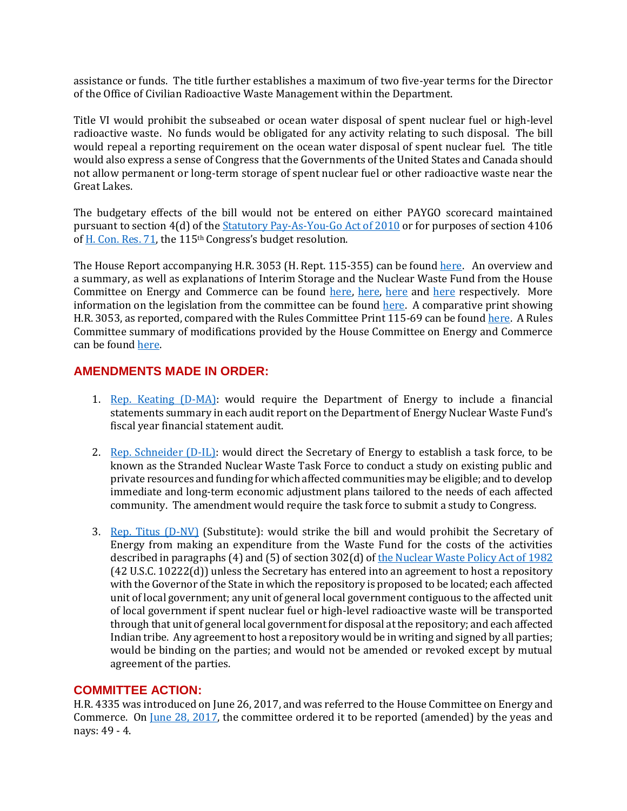assistance or funds. The title further establishes a maximum of two five-year terms for the Director of the Office of Civilian Radioactive Waste Management within the Department.

Title VI would prohibit the subseabed or ocean water disposal of spent nuclear fuel or high-level radioactive waste. No funds would be obligated for any activity relating to such disposal. The bill would repeal a reporting requirement on the ocean water disposal of spent nuclear fuel. The title would also express a sense of Congress that the Governments of the United States and Canada should not allow permanent or long-term storage of spent nuclear fuel or other radioactive waste near the Great Lakes.

The budgetary effects of the bill would not be entered on either PAYGO scorecard maintained pursuant to section 4(d) of th[e Statutory Pay-As-You-Go Act of 2010](https://www.congress.gov/111/plaws/publ139/PLAW-111publ139.pdf) or for purposes of section 4106 o[f H. Con. Res. 71,](https://www.gpo.gov/fdsys/pkg/BILLS-115hconres71enr/pdf/BILLS-115hconres71enr.pdf) the 115th Congress's budget resolution.

The House Report accompanying H.R. 3053 (H. Rept. 115-355) can be found [here.](https://www.gpo.gov/fdsys/pkg/CRPT-115hrpt355/pdf/CRPT-115hrpt355-pt1.pdf) An overview and a summary, as well as explanations of Interim Storage and the Nuclear Waste Fund from the House Committee on Energy and Commerce can be found [here,](https://energycommerce.house.gov/wp-content/uploads/2018/05/NWPAA-Two-Pager_05022018.pdf) [here](https://energycommerce.house.gov/wp-content/uploads/2018/05/NWPAA_UnderstandingTheNuclearWasteFund_05022018.pdf), here and here respectively. More information on the legislation from the committee can be found [here.](https://energycommerce.house.gov/nwpaa/) A comparative print showing H.R. 3053, as reported, compared with the Rules Committee Print 115-69 can be found [here.](https://rules.house.gov/sites/republicans.rules.house.gov/files/115-2/HR%203053/CP-115HR3053RH-COMPARED-RCP115-69.pdf) A Rules Committee summary of modifications provided by the House Committee on Energy and Commerce can be foun[d here.](https://rules.house.gov/sites/republicans.rules.house.gov/files/115-2/HR%203053/Changes%20in%20RCP.pdf)

# **AMENDMENTS MADE IN ORDER:**

- 1. [Rep. Keating \(D-MA\):](https://amendments-rules.house.gov/amendments/KEATIN_06058180018491849.pdf) would require the Department of Energy to include a financial statements summary in each audit report on the Department of Energy Nuclear Waste Fund's fiscal year financial statement audit.
- 2. [Rep. Schneider \(D-IL\):](https://amendments-rules.house.gov/amendments/SCHNEI_069_xml58180930503050.pdf) would direct the Secretary of Energy to establish a task force, to be known as the Stranded Nuclear Waste Task Force to conduct a study on existing public and private resources and funding for which affected communities may be eligible; and to develop immediate and long-term economic adjustment plans tailored to the needs of each affected community. The amendment would require the task force to submit a study to Congress.
- 3. [Rep. Titus \(D-NV\)](https://amendments-rules.house.gov/amendments/TITUS_043_xml58180924352435.pdf) (Substitute): would strike the bill and would prohibit the Secretary of Energy from making an expenditure from the Waste Fund for the costs of the activities described in paragraphs (4) and (5) of section 302(d) o[f the Nuclear Waste Policy Act of 1982](https://www.energy.gov/sites/prod/files/edg/media/nwpa_2004.pdf) (42 U.S.C. 10222(d)) unless the Secretary has entered into an agreement to host a repository with the Governor of the State in which the repository is proposed to be located; each affected unit of local government; any unit of general local government contiguous to the affected unit of local government if spent nuclear fuel or high-level radioactive waste will be transported through that unit of general local government for disposal at the repository; and each affected Indian tribe. Any agreement to host a repository would be in writing and signed by all parties; would be binding on the parties; and would not be amended or revoked except by mutual agreement of the parties.

#### **COMMITTEE ACTION:**

H.R. 4335 was introduced on June 26, 2017, and was referred to the House Committee on Energy and Commerce. On <u>June 28, 2017</u>, the committee ordered it to be reported (amended) by the yeas and nays: 49 - 4.